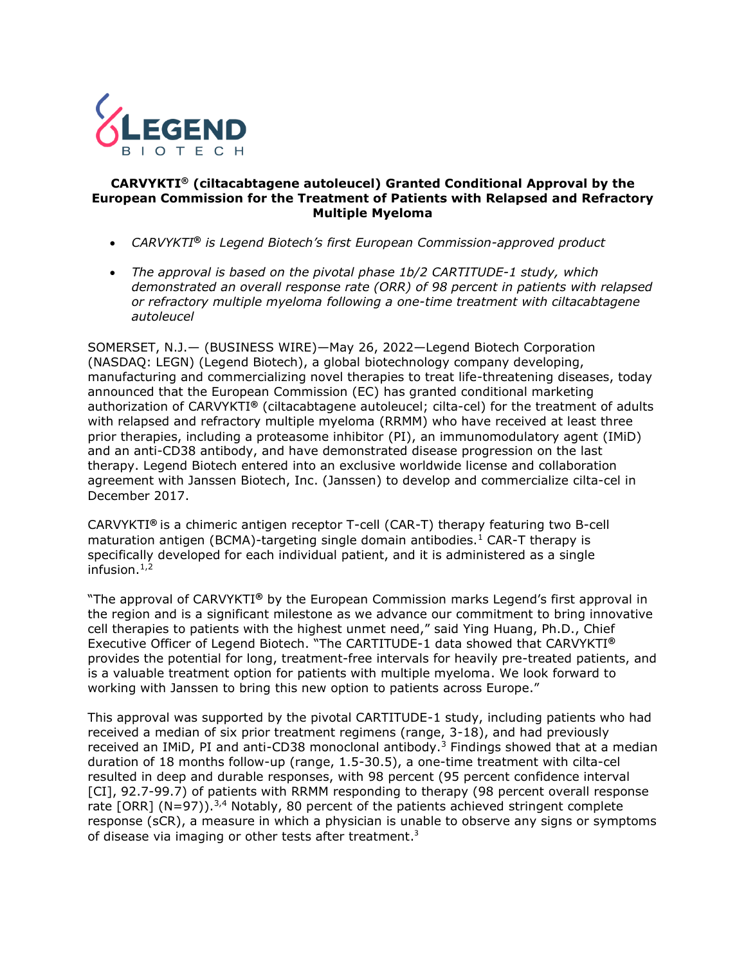

#### **CARVYKTI® (ciltacabtagene autoleucel) Granted Conditional Approval by the European Commission for the Treatment of Patients with Relapsed and Refractory Multiple Myeloma**

- *CARVYKTI***®** *is Legend Biotech's first European Commission-approved product*
- *The approval is based on the pivotal phase 1b/2 CARTITUDE-1 study, which demonstrated an overall response rate (ORR) of 98 percent in patients with relapsed or refractory multiple myeloma following a one-time treatment with ciltacabtagene autoleucel*

SOMERSET, N.J.— (BUSINESS WIRE)—May 26, 2022—Legend Biotech Corporation (NASDAQ: LEGN) (Legend Biotech), a global biotechnology company developing, manufacturing and commercializing novel therapies to treat life-threatening diseases, today announced that the European Commission (EC) has granted conditional marketing authorization of CARVYKTI**®** (ciltacabtagene autoleucel; cilta-cel) for the treatment of adults with relapsed and refractory multiple myeloma (RRMM) who have received at least three prior therapies, including a proteasome inhibitor (PI), an immunomodulatory agent (IMiD) and an anti-CD38 antibody, and have demonstrated disease progression on the last therapy. Legend Biotech entered into an exclusive worldwide license and collaboration agreement with Janssen Biotech, Inc. (Janssen) to develop and commercialize cilta-cel in December 2017.

<span id="page-0-0"></span>CARVYKTI**®** is a chimeric antigen receptor T-cell (CAR-T) therapy featuring two B-cell maturation antigen (BCMA)-targeting single domain antibodies.<sup>1</sup> CAR-T therapy is specifically developed for each individual patient, and it is administered as a single infusion. $1,2$  $1,2$ 

<span id="page-0-2"></span>"The approval of CARVYKTI**®** by the European Commission marks Legend's first approval in the region and is a significant milestone as we advance our commitment to bring innovative cell therapies to patients with the highest unmet need," said Ying Huang, Ph.D., Chief Executive Officer of Legend Biotech. "The CARTITUDE-1 data showed that CARVYKTI**®** provides the potential for long, treatment-free intervals for heavily pre-treated patients, and is a valuable treatment option for patients with multiple myeloma. We look forward to working with Janssen to bring this new option to patients across Europe."

<span id="page-0-3"></span><span id="page-0-1"></span>This approval was supported by the pivotal CARTITUDE-1 study, including patients who had received a median of six prior treatment regimens (range, 3-18), and had previously received an IMiD, PI and anti-CD38 monoclonal antibody.<sup>3</sup> Findings showed that at a median duration of 18 months follow-up (range, 1.5-30.5), a one-time treatment with cilta-cel resulted in deep and durable responses, with 98 percent (95 percent confidence interval [CI], 92.7-99.7) of patients with RRMM responding to therapy (98 percent overall response rate [ORR] (N=97)).<sup>[3,](#page-0-1)4</sup> Notably, 80 percent of the patients achieved stringent complete response (sCR), a measure in which a physician is unable to observe any signs or symptoms of disease via imaging or other tests after treatment.<sup>[3](#page-0-1)</sup>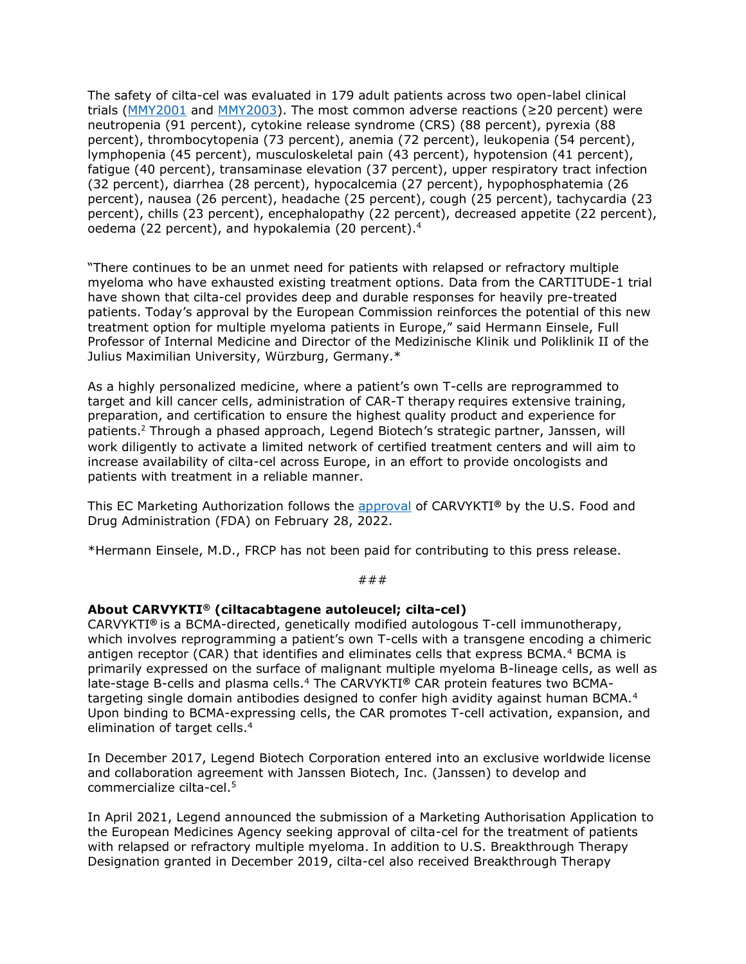The safety of cilta-cel was evaluated in 179 adult patients across two open-label clinical trials [\(MMY2001](https://clinicaltrials.gov/ct2/show/NCT03548207?term=MMY2001&draw=2&rank=2) and [MMY2003\)](https://clinicaltrials.gov/ct2/show/NCT04133636?term=mmy2003&draw=2&rank=1). The most common adverse reactions ( $\geq$ 20 percent) were neutropenia (91 percent), cytokine release syndrome (CRS) (88 percent), pyrexia (88 percent), thrombocytopenia (73 percent), anemia (72 percent), leukopenia (54 percent), lymphopenia (45 percent), musculoskeletal pain (43 percent), hypotension (41 percent), fatigue (40 percent), transaminase elevation (37 percent), upper respiratory tract infection (32 percent), diarrhea (28 percent), hypocalcemia (27 percent), hypophosphatemia (26 percent), nausea (26 percent), headache (25 percent), cough (25 percent), tachycardia (23 percent), chills (23 percent), encephalopathy (22 percent), decreased appetite (22 percent), oedema (22 percent), and hypokalemia (20 percent).<sup>4</sup>

"There continues to be an unmet need for patients with relapsed or refractory multiple myeloma who have exhausted existing treatment options. Data from the CARTITUDE-1 trial have shown that cilta-cel provides deep and durable responses for heavily pre-treated patients. Today's approval by the European Commission reinforces the potential of this new treatment option for multiple myeloma patients in Europe," said Hermann Einsele, Full Professor of Internal Medicine and Director of the Medizinische Klinik und Poliklinik II of the Julius Maximilian University, Würzburg, Germany.\*

As a highly personalized medicine, where a patient's own T-cells are reprogrammed to target and kill cancer cells, administration of CAR-T therapy requires extensive training, preparation, and certification to ensure the highest quality product and experience for patients.<sup>[2](#page-0-2)</sup> Through a phased approach, Legend Biotech's strategic partner, Janssen, will work diligently to activate a limited network of certified treatment centers and will aim to increase availability of cilta-cel across Europe, in an effort to provide oncologists and patients with treatment in a reliable manner.

This EC Marketing Authorization follows the [approval](https://legendbiotech.com/wp-content/uploads/2022/02/CARVYKTI%E2%84%A2-ciltacabtagene-autoleucel-BCMA-Directed-CAR-T-Therapy-Receives-U.S.-FDA-Approval-2.pdf) of CARVYKTI**®** by the U.S. Food and Drug Administration (FDA) on February 28, 2022.

\*Hermann Einsele, M.D., FRCP has not been paid for contributing to this press release.

#### ###

## **About CARVYKTI® (ciltacabtagene autoleucel; cilta-cel)**

CARVYKTI**®** is a BCMA-directed, genetically modified autologous T-cell immunotherapy, which involves reprogramming a patient's own T-cells with a transgene encoding a chimeric antigen receptor (CAR) that identifies and eliminates cells that express BCMA.<sup>[4](#page-0-3)</sup> BCMA is primarily expressed on the surface of malignant multiple myeloma B-lineage cells, as well as late-stage B-cells and plasma cells.[4](#page-0-3) The CARVYKTI**®** CAR protein features two BCMA-targeting single domain antibodies designed to confer high avidity against human BCMA.<sup>[4](#page-0-3)</sup> Upon binding to BCMA-expressing cells, the CAR promotes T-cell activation, expansion, and elimination of target cells.<sup>[4](#page-0-3)</sup>

In December 2017, Legend Biotech Corporation entered into an exclusive worldwide license and collaboration agreement with Janssen Biotech, Inc. (Janssen) to develop and commercialize cilta-cel.<sup>5</sup>

In April 2021, Legend announced the submission of a Marketing Authorisation Application to the European Medicines Agency seeking approval of cilta-cel for the treatment of patients with relapsed or refractory multiple myeloma. In addition to U.S. Breakthrough Therapy Designation granted in December 2019, cilta-cel also received Breakthrough Therapy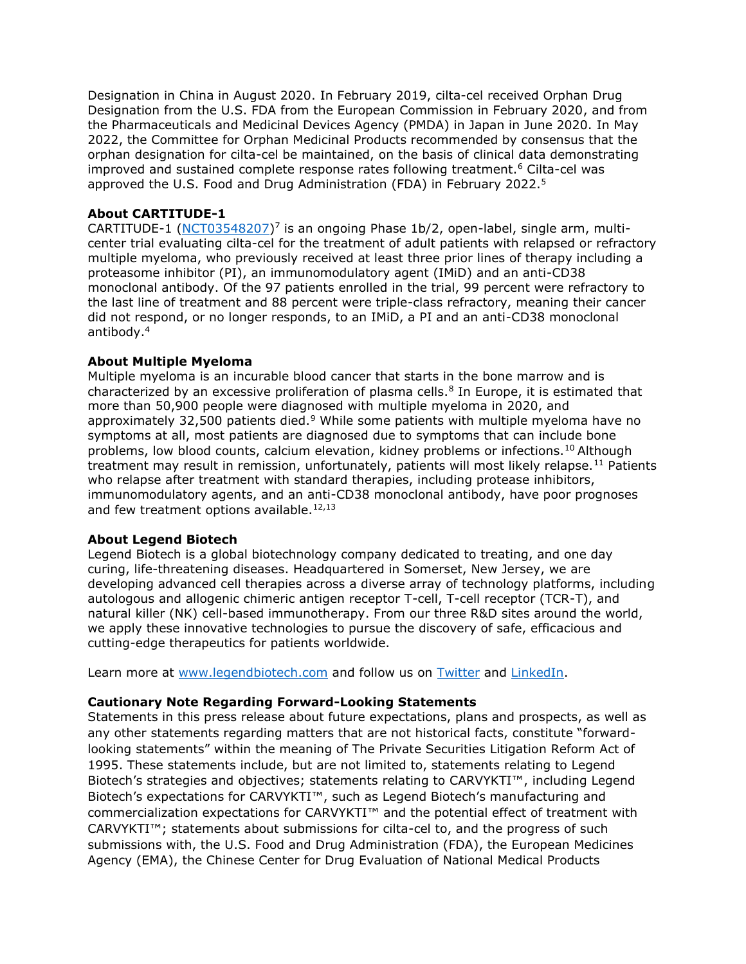Designation in China in August 2020. In February 2019, cilta-cel received Orphan Drug Designation from the U.S. FDA from the European Commission in February 2020, and from the Pharmaceuticals and Medicinal Devices Agency (PMDA) in Japan in June 2020. In May 2022, the Committee for Orphan Medicinal Products recommended by consensus that the orphan designation for cilta-cel be maintained, on the basis of clinical data demonstrating improved and sustained complete response rates following treatment.<sup>6</sup> Cilta-cel was approved the U.S. Food and Drug Administration (FDA) in February 2022.<sup>5</sup>

# **About CARTITUDE-1**

CARTITUDE-1 [\(NCT03548207\)](https://clinicaltrials.gov/ct2/show/NCT03548207)<sup>7</sup> is an ongoing Phase 1b/2, open-label, single arm, multicenter trial evaluating cilta-cel for the treatment of adult patients with relapsed or refractory multiple myeloma, who previously received at least three prior lines of therapy including a proteasome inhibitor (PI), an immunomodulatory agent (IMiD) and an anti-CD38 monoclonal antibody. Of the 97 patients enrolled in the trial, 99 percent were refractory to the last line of treatment and 88 percent were triple-class refractory, meaning their cancer did not respond, or no longer responds, to an IMiD, a PI and an anti-CD38 monoclonal antibody.[4](#page-0-3)

## **About Multiple Myeloma**

Multiple myeloma is an incurable blood cancer that starts in the bone marrow and is characterized by an excessive proliferation of plasma cells.<sup>8</sup> In Europe, it is estimated that more than 50,900 people were diagnosed with multiple myeloma in 2020, and approximately 32,500 patients died.<sup>9</sup> While some patients with multiple myeloma have no symptoms at all, most patients are diagnosed due to symptoms that can include bone problems, low blood counts, calcium elevation, kidney problems or infections.<sup>10</sup> Although treatment may result in remission, unfortunately, patients will most likely relapse.<sup>11</sup> Patients who relapse after treatment with standard therapies, including protease inhibitors, immunomodulatory agents, and an anti-CD38 monoclonal antibody, have poor prognoses and few treatment options available. $12,13$ 

## **About Legend Biotech**

Legend Biotech is a global biotechnology company dedicated to treating, and one day curing, life-threatening diseases. Headquartered in Somerset, New Jersey, we are developing advanced cell therapies across a diverse array of technology platforms, including autologous and allogenic chimeric antigen receptor T-cell, T-cell receptor (TCR-T), and natural killer (NK) cell-based immunotherapy. From our three R&D sites around the world, we apply these innovative technologies to pursue the discovery of safe, efficacious and cutting-edge therapeutics for patients worldwide.

Learn more at [www.legendbiotech.com](https://apc01.safelinks.protection.outlook.com/?url=https%3A%2F%2Furldefense.com%2Fv3%2F__http%3A%2Fwww.legendbiotech.com%2F__%3B!!Dahw-A9d0CA!l_HBzc6uFFeUDuZZa9ZaL36SCN4RrVIMjWybRwXGmPMcCeXFMsUTZlHW7117Bv5v%24&data=04%7C01%7Ctina.carter%40legendbiotech.com%7C16a4efa927f340b07f5408d9730bde94%7Cd55ad7adbf234f2cb95e1164d77114c9%7C0%7C0%7C637667317543128330%7CUnknown%7CTWFpbGZsb3d8eyJWIjoiMC4wLjAwMDAiLCJQIjoiV2luMzIiLCJBTiI6Ik1haWwiLCJXVCI6Mn0%3D%7C2000&sdata=SGEIilDeN6oOC2e6jPKxF9s4UeP%2F7qYMPZCwABxs1GY%3D&reserved=0) and follow us on [Twitter](https://apc01.safelinks.protection.outlook.com/?url=https%3A%2F%2Furldefense.com%2Fv3%2F__https%3A%2Ftwitter.com%2Flegendbiotech%3Flang%3Den__%3B!!Dahw-A9d0CA!l_HBzc6uFFeUDuZZa9ZaL36SCN4RrVIMjWybRwXGmPMcCeXFMsUTZlHW7-CeoCbi%24&data=04%7C01%7Ctina.carter%40legendbiotech.com%7C16a4efa927f340b07f5408d9730bde94%7Cd55ad7adbf234f2cb95e1164d77114c9%7C0%7C0%7C637667317543138324%7CUnknown%7CTWFpbGZsb3d8eyJWIjoiMC4wLjAwMDAiLCJQIjoiV2luMzIiLCJBTiI6Ik1haWwiLCJXVCI6Mn0%3D%7C2000&sdata=G67YvZwhP%2FqpNT70jcxhfJtkRBbttuYxLr1GRRXONFY%3D&reserved=0) and [LinkedIn.](https://apc01.safelinks.protection.outlook.com/?url=https%3A%2F%2Furldefense.com%2Fv3%2F__https%3A%2Fwww.linkedin.com%2Fcompany%2Flegendbiotechco.%2F__%3B!!Dahw-A9d0CA!l_HBzc6uFFeUDuZZa9ZaL36SCN4RrVIMjWybRwXGmPMcCeXFMsUTZlHW7xWi5KQF%24&data=04%7C01%7Ctina.carter%40legendbiotech.com%7C16a4efa927f340b07f5408d9730bde94%7Cd55ad7adbf234f2cb95e1164d77114c9%7C0%7C0%7C637667317543138324%7CUnknown%7CTWFpbGZsb3d8eyJWIjoiMC4wLjAwMDAiLCJQIjoiV2luMzIiLCJBTiI6Ik1haWwiLCJXVCI6Mn0%3D%7C2000&sdata=rAaHW745AINa0fRJ5bSa9ANpUsQtVUxOPkh%2BsfS5lao%3D&reserved=0)

## **Cautionary Note Regarding Forward-Looking Statements**

Statements in this press release about future expectations, plans and prospects, as well as any other statements regarding matters that are not historical facts, constitute "forwardlooking statements" within the meaning of The Private Securities Litigation Reform Act of 1995. These statements include, but are not limited to, statements relating to Legend Biotech's strategies and objectives; statements relating to CARVYKTI™, including Legend Biotech's expectations for CARVYKTI™, such as Legend Biotech's manufacturing and commercialization expectations for CARVYKTI™ and the potential effect of treatment with CARVYKTI™; statements about submissions for cilta-cel to, and the progress of such submissions with, the U.S. Food and Drug Administration (FDA), the European Medicines Agency (EMA), the Chinese Center for Drug Evaluation of National Medical Products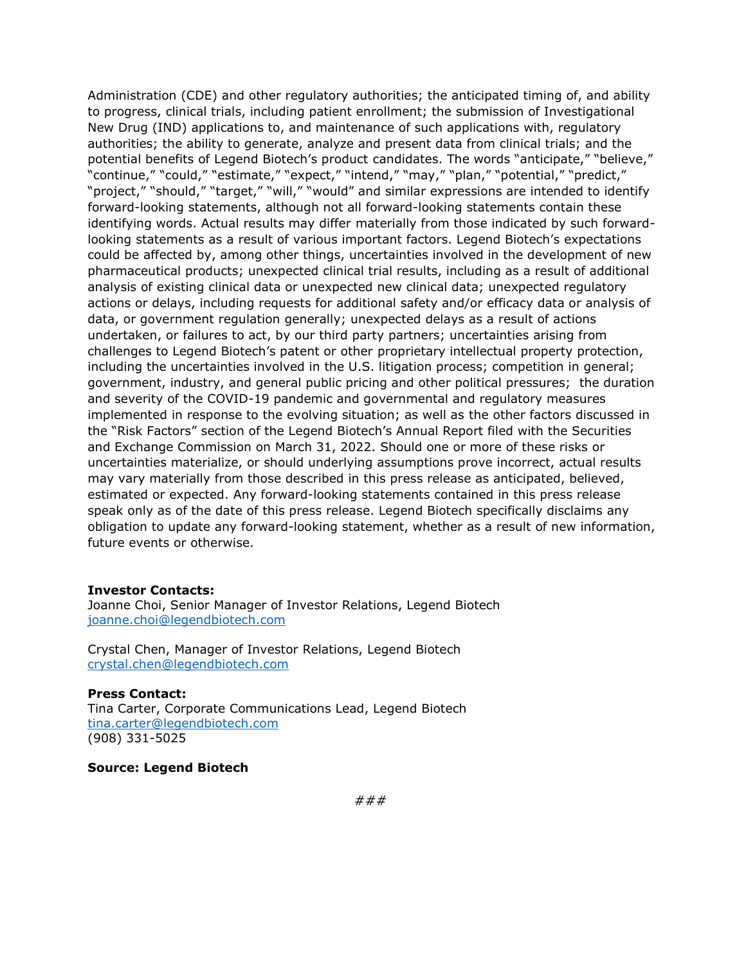Administration (CDE) and other regulatory authorities; the anticipated timing of, and ability to progress, clinical trials, including patient enrollment; the submission of Investigational New Drug (IND) applications to, and maintenance of such applications with, regulatory authorities; the ability to generate, analyze and present data from clinical trials; and the potential benefits of Legend Biotech's product candidates. The words "anticipate," "believe," "continue," "could," "estimate," "expect," "intend," "may," "plan," "potential," "predict," "project," "should," "target," "will," "would" and similar expressions are intended to identify forward-looking statements, although not all forward-looking statements contain these identifying words. Actual results may differ materially from those indicated by such forwardlooking statements as a result of various important factors. Legend Biotech's expectations could be affected by, among other things, uncertainties involved in the development of new pharmaceutical products; unexpected clinical trial results, including as a result of additional analysis of existing clinical data or unexpected new clinical data; unexpected regulatory actions or delays, including requests for additional safety and/or efficacy data or analysis of data, or government regulation generally; unexpected delays as a result of actions undertaken, or failures to act, by our third party partners; uncertainties arising from challenges to Legend Biotech's patent or other proprietary intellectual property protection, including the uncertainties involved in the U.S. litigation process; competition in general; government, industry, and general public pricing and other political pressures; the duration and severity of the COVID-19 pandemic and governmental and regulatory measures implemented in response to the evolving situation; as well as the other factors discussed in the "Risk Factors" section of the Legend Biotech's Annual Report filed with the Securities and Exchange Commission on March 31, 2022. Should one or more of these risks or uncertainties materialize, or should underlying assumptions prove incorrect, actual results may vary materially from those described in this press release as anticipated, believed, estimated or expected. Any forward-looking statements contained in this press release speak only as of the date of this press release. Legend Biotech specifically disclaims any obligation to update any forward-looking statement, whether as a result of new information, future events or otherwise.

#### **Investor Contacts:**

Joanne Choi, Senior Manager of Investor Relations, Legend Biotech [joanne.choi@legendbiotech.com](mailto:Joanne.choi@legendbiotech.com) 

Crystal Chen, Manager of Investor Relations, Legend Biotech [crystal.chen@legendbiotech.com](mailto:crystal.chen@legendbiotech.com) 

**Press Contact:** Tina Carter, Corporate Communications Lead, Legend Biotech [tina.carter@legendbiotech.com](mailto:tina.carter@legendbiotech.com)  (908) 331-5025

## **Source: Legend Biotech**